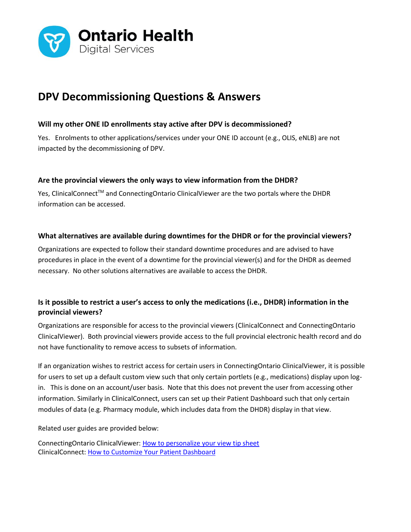

# **DPV Decommissioning Questions & Answers**

## **Will my other ONE ID enrollments stay active after DPV is decommissioned?**

Yes. Enrolments to other applications/services under your ONE ID account (e.g., OLIS, eNLB) are not impacted by the decommissioning of DPV.

#### **Are the provincial viewers the only ways to view information from the DHDR?**

Yes, ClinicalConnect™ and ConnectingOntario ClinicalViewer are the two portals where the DHDR information can be accessed.

#### **What alternatives are available during downtimes for the DHDR or for the provincial viewers?**

Organizations are expected to follow their standard downtime procedures and are advised to have procedures in place in the event of a downtime for the provincial viewer(s) and for the DHDR as deemed necessary. No other solutions alternatives are available to access the DHDR.

## **Is it possible to restrict a user's access to only the medications (i.e., DHDR) information in the provincial viewers?**

Organizations are responsible for access to the provincial viewers (ClinicalConnect and ConnectingOntario ClinicalViewer). Both provincial viewers provide access to the full provincial electronic health record and do not have functionality to remove access to subsets of information.

If an organization wishes to restrict access for certain users in ConnectingOntario ClinicalViewer, it is possible for users to set up a default custom view such that only certain portlets (e.g., medications) display upon login. This is done on an account/user basis. Note that this does not prevent the user from accessing other information. Similarly in ClinicalConnect, users can set up their Patient Dashboard such that only certain modules of data (e.g. Pharmacy module, which includes data from the DHDR) display in that view.

Related user guides are provided below:

ConnectingOntario ClinicalViewer: [How to personalize your view tip sheet](https://www.ehealthontario.on.ca/en/support-topics/connectingontario-clinicalviewer-training/end-users) ClinicalConnect: [How to Customize Your Patient Dashboard](https://info.clinicalconnect.ca/CC/healthcare/resource-centre-patient-dashboard)